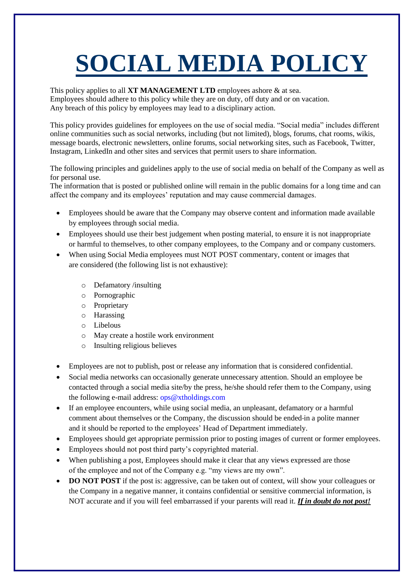## **SOCIAL MEDIA POLICY**

This policy applies to all **XT MANAGEMENT LTD** employees ashore & at sea. Employees should adhere to this policy while they are on duty, off duty and or on vacation. Any breach of this policy by employees may lead to a disciplinary action.

This policy provides guidelines for employees on the use of social media. "Social media" includes different online communities such as social networks, including (but not limited), blogs, forums, chat rooms, wikis, message boards, electronic newsletters, online forums, social networking sites, such as Facebook, Twitter, Instagram, LinkedIn and other sites and services that permit users to share information.

The following principles and guidelines apply to the use of social media on behalf of the Company as well as for personal use.

The information that is posted or published online will remain in the public domains for a long time and can affect the company and its employees' reputation and may cause commercial damages.

- Employees should be aware that the Company may observe content and information made available by employees through social media.
- Employees should use their best judgement when posting material, to ensure it is not inappropriate or harmful to themselves, to other company employees, to the Company and or company customers.
- When using Social Media employees must NOT POST commentary, content or images that are considered (the following list is not exhaustive):
	- o Defamatory /insulting
	- o Pornographic
	- o Proprietary
	- o Harassing
	- o Libelous
	- o May create a hostile work environment
	- o Insulting religious believes
- Employees are not to publish, post or release any information that is considered confidential.
- Social media networks can occasionally generate unnecessary attention. Should an employee be contacted through a social media site/by the press, he/she should refer them to the Company, using the following e-mail address: ops@xtholdings.com
- If an employee encounters, while using social media, an unpleasant, defamatory or a harmful comment about themselves or the Company, the discussion should be ended in a polite manner and it should be reported to the employees' Head of Department immediately.
- Employees should get appropriate permission prior to posting images of current or former employees.
- Employees should not post third party's copyrighted material.
- When publishing a post, Employees should make it clear that any views expressed are those of the employee and not of the Company e.g. "my views are my own".
- **DO NOT POST** if the post is: aggressive, can be taken out of context, will show your colleagues or the Company in a negative manner, it contains confidential or sensitive commercial information, is NOT accurate and if you will feel embarrassed if your parents will read it. *If in doubt do not post!*